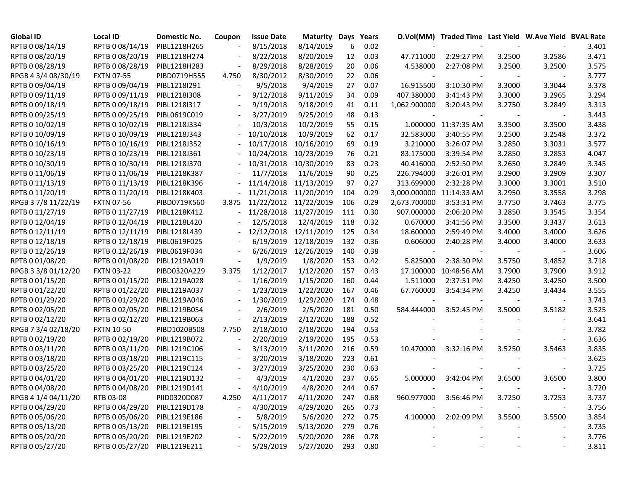| <b>Global ID</b>    | <b>Local ID</b>              | Domestic No. | Coupon | <b>Issue Date</b>     | <b>Maturity Days</b> |     | Years    |                          | D.Vol(MM) Traded Time Last Yield W.Ave Yield BVAL Rate |        |        |       |
|---------------------|------------------------------|--------------|--------|-----------------------|----------------------|-----|----------|--------------------------|--------------------------------------------------------|--------|--------|-------|
| RPTB 0 08/14/19     | RPTB 0 08/14/19              | PIBL1218H265 |        | 8/15/2018             | 8/14/2019            | 6   | 0.02     |                          |                                                        |        |        | 3.401 |
| RPTB 0 08/20/19     | RPTB 0 08/20/19              | PIBL1218H274 |        | 8/22/2018             | 8/20/2019            | 12  | 0.03     | 47.711000                | 2:29:27 PM                                             | 3.2500 | 3.2586 | 3.471 |
| RPTB 0 08/28/19     | RPTB 0 08/28/19              | PIBL1218H283 |        | 8/29/2018             | 8/28/2019            | 20  | 0.06     | 4.538000                 | 2:27:08 PM                                             | 3.2500 | 3.2500 | 3.575 |
| RPGB 4 3/4 08/30/19 | <b>FXTN 07-55</b>            | PIBD0719H555 | 4.750  | 8/30/2012             | 8/30/2019            | 22  | 0.06     |                          |                                                        |        |        | 3.777 |
| RPTB 0 09/04/19     | RPTB 0 09/04/19              | PIBL1218I291 |        | 9/5/2018              | 9/4/2019             | 27  | 0.07     | 16.915500                | 3:10:30 PM                                             | 3.3000 | 3.3044 | 3.378 |
| RPTB 0 09/11/19     | RPTB 0 09/11/19              | PIBL1218I308 |        | 9/12/2018             | 9/11/2019            | 34  | 0.09     | 407.380000               | 3:41:43 PM                                             | 3.3000 | 3.2965 | 3.294 |
| RPTB 0 09/18/19     | RPTB 0 09/18/19              | PIBL1218I317 |        | 9/19/2018             | 9/18/2019            | 41  | 0.11     | 1,062.900000             | 3:20:43 PM                                             | 3.2750 | 3.2849 | 3.313 |
| RPTB 0 09/25/19     | RPTB 0 09/25/19              | PIBL0619C019 |        | 3/27/2019             | 9/25/2019            | 48  | 0.13     |                          |                                                        |        |        | 3.443 |
| RPTB 0 10/02/19     | RPTB 0 10/02/19              | PIBL1218J334 |        | 10/3/2018             | 10/2/2019            | 55  | 0.15     |                          | 1.000000 11:37:35 AM                                   | 3.3500 | 3.3500 | 3.438 |
| RPTB 0 10/09/19     | RPTB 0 10/09/19              | PIBL1218J343 |        | 10/10/2018            | 10/9/2019            | 62  | 0.17     | 32.583000                | 3:40:55 PM                                             | 3.2500 | 3.2548 | 3.372 |
| RPTB 0 10/16/19     | RPTB 0 10/16/19              | PIBL1218J352 |        | 10/17/2018            | 10/16/2019           | 69  | 0.19     | 3.210000                 | 3:26:07 PM                                             | 3.2850 | 3.3031 | 3.577 |
| RPTB 0 10/23/19     | RPTB 0 10/23/19              | PIBL1218J361 |        | 10/24/2018            | 10/23/2019           | 76  | 0.21     | 83.175000                | 3:39:54 PM                                             | 3.2850 | 3.2853 | 4.047 |
| RPTB 0 10/30/19     | RPTB 0 10/30/19              | PIBL1218J370 |        | 10/31/2018            | 10/30/2019           | 83  | 0.23     | 40.416000                | 2:52:50 PM                                             | 3.2650 | 3.2849 | 3.345 |
| RPTB 0 11/06/19     | RPTB 0 11/06/19              | PIBL1218K387 |        | 11/7/2018             | 11/6/2019            | 90  | 0.25     | 226.794000               | 3:26:01 PM                                             | 3.2900 | 3.2909 | 3.307 |
| RPTB 0 11/13/19     | RPTB 0 11/13/19              | PIBL1218K396 |        | 11/14/2018            | 11/13/2019           | 97  | 0.27     | 313.699000               | 2:32:28 PM                                             | 3.3000 | 3.3001 | 3.510 |
| RPTB 0 11/20/19     | RPTB 0 11/20/19              | PIBL1218K403 |        | 11/21/2018            | 11/20/2019           | 104 | 0.29     | 3,000.000000 11:14:33 AM |                                                        | 3.2950 | 3.3558 | 3.298 |
| RPGB 3 7/8 11/22/19 | <b>FXTN 07-56</b>            | PIBD0719K560 | 3.875  | 11/22/2012 11/22/2019 |                      | 106 | 0.29     | 2,673.700000             | 3:53:31 PM                                             | 3.7750 | 3.7463 | 3.775 |
| RPTB 0 11/27/19     | RPTB 0 11/27/19              | PIBL1218K412 |        | 11/28/2018 11/27/2019 |                      | 111 | 0.30     | 907.000000               | 2:06:20 PM                                             | 3.2850 | 3.3545 | 3.354 |
| RPTB 0 12/04/19     | RPTB 0 12/04/19              | PIBL1218L420 |        | 12/5/2018             | 12/4/2019            | 118 | 0.32     | 0.670000                 | 3:41:56 PM                                             | 3.3500 | 3.3437 | 3.613 |
| RPTB 0 12/11/19     | RPTB 0 12/11/19              | PIBL1218L439 |        | 12/12/2018            | 12/11/2019           | 125 | 0.34     | 18.600000                | 2:59:49 PM                                             | 3.4000 | 3.4000 | 3.626 |
| RPTB 0 12/18/19     | RPTB 0 12/18/19              | PIBL0619F025 |        | 6/19/2019             | 12/18/2019           | 132 | 0.36     | 0.606000                 | 2:40:28 PM                                             | 3.4000 | 3.4000 | 3.633 |
| RPTB 0 12/26/19     | RPTB 0 12/26/19              | PIBL0619F034 |        | 6/26/2019             | 12/26/2019           | 140 | 0.38     |                          |                                                        |        |        | 3.606 |
| RPTB 0 01/08/20     | RPTB 0 01/08/20              | PIBL1219A019 |        | 1/9/2019              | 1/8/2020             | 153 | 0.42     | 5.825000                 | 2:38:30 PM                                             | 3.5750 | 3.4852 | 3.718 |
| RPGB 3 3/8 01/12/20 | <b>FXTN 03-22</b>            | PIBD0320A229 | 3.375  | 1/12/2017             | 1/12/2020            | 157 | 0.43     |                          | 17.100000 10:48:56 AM                                  | 3.7900 | 3.7900 | 3.912 |
| RPTB 0 01/15/20     | RPTB 0 01/15/20              | PIBL1219A028 |        | 1/16/2019             | 1/15/2020            | 160 | 0.44     | 1.511000                 | 2:37:51 PM                                             | 3.4250 | 3.4250 | 3.500 |
| RPTB 0 01/22/20     | RPTB 0 01/22/20              | PIBL1219A037 |        | 1/23/2019             | 1/22/2020            | 167 | 0.46     | 67.760000                | 3:54:34 PM                                             | 3.4250 | 3.4434 | 3.555 |
| RPTB 0 01/29/20     | RPTB 0 01/29/20              | PIBL1219A046 |        | 1/30/2019             | 1/29/2020            | 174 | 0.48     |                          |                                                        |        |        | 3.743 |
| RPTB 0 02/05/20     | RPTB 0 02/05/20              | PIBL1219B054 |        | 2/6/2019              | 2/5/2020             | 181 | 0.50     | 584.444000               | 3:52:45 PM                                             | 3.5000 | 3.5182 | 3.525 |
| RPTB 0 02/12/20     | RPTB 0 02/12/20              | PIBL1219B063 |        | 2/13/2019             | 2/12/2020            | 188 | 0.52     |                          |                                                        |        |        | 3.641 |
| RPGB 7 3/4 02/18/20 | <b>FXTN 10-50</b>            | PIBD1020B508 | 7.750  | 2/18/2010             | 2/18/2020            | 194 | 0.53     |                          |                                                        |        |        | 3.782 |
| RPTB 0 02/19/20     | RPTB 0 02/19/20              | PIBL1219B072 |        | 2/20/2019             | 2/19/2020            | 195 | 0.53     |                          |                                                        |        |        | 3.636 |
| RPTB 0 03/11/20     | RPTB 0 03/11/20              | PIBL1219C106 |        | 3/13/2019             | 3/11/2020            | 216 | 0.59     | 10.470000                | 3:32:16 PM                                             | 3.5250 | 3.5463 | 3.835 |
| RPTB 0 03/18/20     | RPTB 0 03/18/20              | PIBL1219C115 |        | 3/20/2019             | 3/18/2020            | 223 | 0.61     |                          |                                                        |        |        | 3.625 |
| RPTB 0 03/25/20     | RPTB 0 03/25/20              | PIBL1219C124 |        | 3/27/2019             | 3/25/2020            | 230 | 0.63     |                          |                                                        |        |        | 3.725 |
| RPTB 0 04/01/20     | RPTB 0 04/01/20              | PIBL1219D132 |        | 4/3/2019              | 4/1/2020             | 237 | 0.65     | 5.000000                 | 3:42:04 PM                                             | 3.6500 | 3.6500 | 3.800 |
| RPTB 0 04/08/20     | RPTB 0 04/08/20              | PIBL1219D141 |        | 4/10/2019             | 4/8/2020             | 244 | 0.67     |                          |                                                        |        |        | 3.720 |
| RPGB 4 1/4 04/11/20 | RTB 03-08                    | PIID0320D087 | 4.250  | 4/11/2017             | 4/11/2020            | 247 | 0.68     | 960.977000               | 3:56:46 PM                                             | 3.7250 | 3.7253 | 3.737 |
| RPTB 0 04/29/20     | RPTB 0 04/29/20              | PIBL1219D178 |        | 4/30/2019             | 4/29/2020            | 265 | 0.73     |                          |                                                        |        |        | 3.756 |
| RPTB 0 05/06/20     | RPTB 0 05/06/20              | PIBL1219E186 |        | 5/8/2019              | 5/6/2020             | 272 | 0.75     | 4.100000                 | 2:02:09 PM                                             | 3.5500 | 3.5500 | 3.854 |
| RPTB 0 05/13/20     | RPTB 0 05/13/20              | PIBL1219E195 |        | 5/15/2019             | 5/13/2020            | 279 | 0.76     |                          |                                                        |        |        | 3.735 |
| RPTB 0 05/20/20     | RPTB 0 05/20/20              | PIBL1219E202 |        | 5/22/2019             | 5/20/2020            | 286 | 0.78     |                          |                                                        |        |        | 3.776 |
| RPTB 0 05/27/20     | RPTB 0 05/27/20 PIBL1219E211 |              |        | 5/29/2019             | 5/27/2020            |     | 293 0.80 |                          |                                                        |        |        | 3.811 |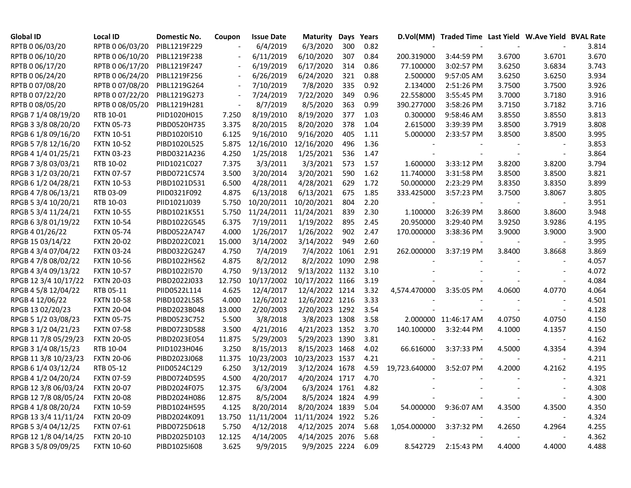| <b>Global ID</b>     | <b>Local ID</b>   | Domestic No. | Coupon | <b>Issue Date</b> | <b>Maturity</b> | Days | Years |               | D.Vol(MM) Traded Time Last Yield W.Ave Yield BVAL Rate |        |        |       |
|----------------------|-------------------|--------------|--------|-------------------|-----------------|------|-------|---------------|--------------------------------------------------------|--------|--------|-------|
| RPTB 0 06/03/20      | RPTB 0 06/03/20   | PIBL1219F229 |        | 6/4/2019          | 6/3/2020        | 300  | 0.82  |               |                                                        |        |        | 3.814 |
| RPTB 0 06/10/20      | RPTB 0 06/10/20   | PIBL1219F238 |        | 6/11/2019         | 6/10/2020       | 307  | 0.84  | 200.319000    | 3:44:59 PM                                             | 3.6700 | 3.6701 | 3.670 |
| RPTB 0 06/17/20      | RPTB 0 06/17/20   | PIBL1219F247 |        | 6/19/2019         | 6/17/2020       | 314  | 0.86  | 77.100000     | 3:02:57 PM                                             | 3.6250 | 3.6834 | 3.743 |
| RPTB 0 06/24/20      | RPTB 0 06/24/20   | PIBL1219F256 |        | 6/26/2019         | 6/24/2020       | 321  | 0.88  | 2.500000      | 9:57:05 AM                                             | 3.6250 | 3.6250 | 3.934 |
| RPTB 0 07/08/20      | RPTB 0 07/08/20   | PIBL1219G264 |        | 7/10/2019         | 7/8/2020        | 335  | 0.92  | 2.134000      | 2:51:26 PM                                             | 3.7500 | 3.7500 | 3.926 |
| RPTB 0 07/22/20      | RPTB 0 07/22/20   | PIBL1219G273 |        | 7/24/2019         | 7/22/2020       | 349  | 0.96  | 22.558000     | 3:55:45 PM                                             | 3.7000 | 3.7180 | 3.916 |
| RPTB 0 08/05/20      | RPTB 0 08/05/20   | PIBL1219H281 |        | 8/7/2019          | 8/5/2020        | 363  | 0.99  | 390.277000    | 3:58:26 PM                                             | 3.7150 | 3.7182 | 3.716 |
| RPGB 7 1/4 08/19/20  | RTB 10-01         | PIID1020H015 | 7.250  | 8/19/2010         | 8/19/2020       | 377  | 1.03  | 0.300000      | 9:58:46 AM                                             | 3.8550 | 3.8550 | 3.813 |
| RPGB 3 3/8 08/20/20  | <b>FXTN 05-73</b> | PIBD0520H735 | 3.375  | 8/20/2015         | 8/20/2020       | 378  | 1.04  | 2.615000      | 3:39:39 PM                                             | 3.8500 | 3.7919 | 3.808 |
| RPGB 6 1/8 09/16/20  | <b>FXTN 10-51</b> | PIBD1020I510 | 6.125  | 9/16/2010         | 9/16/2020       | 405  | 1.11  | 5.000000      | 2:33:57 PM                                             | 3.8500 | 3.8500 | 3.995 |
| RPGB 5 7/8 12/16/20  | <b>FXTN 10-52</b> | PIBD1020L525 | 5.875  | 12/16/2010        | 12/16/2020      | 496  | 1.36  |               |                                                        |        |        | 3.853 |
| RPGB 4 1/4 01/25/21  | <b>FXTN 03-23</b> | PIBD0321A236 | 4.250  | 1/25/2018         | 1/25/2021       | 536  | 1.47  |               |                                                        |        |        | 3.864 |
| RPGB 7 3/8 03/03/21  | RTB 10-02         | PIID1021C027 | 7.375  | 3/3/2011          | 3/3/2021        | 573  | 1.57  | 1.600000      | 3:33:12 PM                                             | 3.8200 | 3.8200 | 3.794 |
| RPGB 3 1/2 03/20/21  | <b>FXTN 07-57</b> | PIBD0721C574 | 3.500  | 3/20/2014         | 3/20/2021       | 590  | 1.62  | 11.740000     | 3:31:58 PM                                             | 3.8500 | 3.8500 | 3.821 |
| RPGB 6 1/2 04/28/21  | <b>FXTN 10-53</b> | PIBD1021D531 | 6.500  | 4/28/2011         | 4/28/2021       | 629  | 1.72  | 50.000000     | 2:23:29 PM                                             | 3.8350 | 3.8350 | 3.899 |
| RPGB 4 7/8 06/13/21  | RTB 03-09         | PIID0321F092 | 4.875  | 6/13/2018         | 6/13/2021       | 675  | 1.85  | 333.425000    | 3:57:23 PM                                             | 3.7500 | 3.8067 | 3.805 |
| RPGB 5 3/4 10/20/21  | RTB 10-03         | PIID1021J039 | 5.750  | 10/20/2011        | 10/20/2021      | 804  | 2.20  |               |                                                        |        |        | 3.951 |
| RPGB 5 3/4 11/24/21  | <b>FXTN 10-55</b> | PIBD1021K551 | 5.750  | 11/24/2011        | 11/24/2021      | 839  | 2.30  | 1.100000      | 3:26:39 PM                                             | 3.8600 | 3.8600 | 3.948 |
| RPGB 63/8 01/19/22   | <b>FXTN 10-54</b> | PIBD1022G545 | 6.375  | 7/19/2011         | 1/19/2022       | 895  | 2.45  | 20.950000     | 3:29:40 PM                                             | 3.9250 | 3.9286 | 4.195 |
| RPGB 4 01/26/22      | <b>FXTN 05-74</b> | PIBD0522A747 | 4.000  | 1/26/2017         | 1/26/2022       | 902  | 2.47  | 170.000000    | 3:38:36 PM                                             | 3.9000 | 3.9000 | 3.900 |
| RPGB 15 03/14/22     | <b>FXTN 20-02</b> | PIBD2022C021 | 15.000 | 3/14/2002         | 3/14/2022       | 949  | 2.60  |               |                                                        |        |        | 3.995 |
| RPGB 4 3/4 07/04/22  | <b>FXTN 03-24</b> | PIBD0322G247 | 4.750  | 7/4/2019          | 7/4/2022 1061   |      | 2.91  | 262.000000    | 3:37:19 PM                                             | 3.8400 | 3.8668 | 3.869 |
| RPGB 4 7/8 08/02/22  | <b>FXTN 10-56</b> | PIBD1022H562 | 4.875  | 8/2/2012          | 8/2/2022 1090   |      | 2.98  |               |                                                        |        |        | 4.057 |
| RPGB 4 3/4 09/13/22  | <b>FXTN 10-57</b> | PIBD1022I570 | 4.750  | 9/13/2012         | 9/13/2022 1132  |      | 3.10  |               |                                                        |        |        | 4.072 |
| RPGB 12 3/4 10/17/22 | <b>FXTN 20-03</b> | PIBD2022J033 | 12.750 | 10/17/2002        | 10/17/2022 1166 |      | 3.19  |               |                                                        |        |        | 4.084 |
| RPGB 4 5/8 12/04/22  | RTB 05-11         | PIID0522L114 | 4.625  | 12/4/2017         | 12/4/2022 1214  |      | 3.32  | 4,574.470000  | 3:35:05 PM                                             | 4.0600 | 4.0770 | 4.064 |
| RPGB 4 12/06/22      | <b>FXTN 10-58</b> | PIBD1022L585 | 4.000  | 12/6/2012         | 12/6/2022 1216  |      | 3.33  |               |                                                        |        |        | 4.501 |
| RPGB 13 02/20/23     | <b>FXTN 20-04</b> | PIBD2023B048 | 13.000 | 2/20/2003         | 2/20/2023 1292  |      | 3.54  |               |                                                        |        |        | 4.128 |
| RPGB 5 1/2 03/08/23  | <b>FXTN 05-75</b> | PIBD0523C752 | 5.500  | 3/8/2018          | 3/8/2023 1308   |      | 3.58  |               | 2.000000 11:46:17 AM                                   | 4.0750 | 4.0750 | 4.150 |
| RPGB 3 1/2 04/21/23  | <b>FXTN 07-58</b> | PIBD0723D588 | 3.500  | 4/21/2016         | 4/21/2023 1352  |      | 3.70  | 140.100000    | 3:32:44 PM                                             | 4.1000 | 4.1357 | 4.150 |
| RPGB 11 7/8 05/29/23 | <b>FXTN 20-05</b> | PIBD2023E054 | 11.875 | 5/29/2003         | 5/29/2023 1390  |      | 3.81  |               |                                                        |        |        | 4.162 |
| RPGB 3 1/4 08/15/23  | RTB 10-04         | PIID1023H046 | 3.250  | 8/15/2013         | 8/15/2023 1468  |      | 4.02  | 66.616000     | 3:37:33 PM                                             | 4.5000 | 4.3354 | 4.394 |
| RPGB 11 3/8 10/23/23 | <b>FXTN 20-06</b> | PIBD2023J068 | 11.375 | 10/23/2003        | 10/23/2023 1537 |      | 4.21  |               |                                                        |        |        | 4.211 |
| RPGB 6 1/4 03/12/24  | RTB 05-12         | PIID0524C129 | 6.250  | 3/12/2019         | 3/12/2024 1678  |      | 4.59  | 19,723.640000 | 3:52:07 PM                                             | 4.2000 | 4.2162 | 4.195 |
| RPGB 4 1/2 04/20/24  | <b>FXTN 07-59</b> | PIBD0724D595 | 4.500  | 4/20/2017         | 4/20/2024 1717  |      | 4.70  |               |                                                        |        |        | 4.321 |
| RPGB 12 3/8 06/03/24 | <b>FXTN 20-07</b> | PIBD2024F075 | 12.375 | 6/3/2004          | 6/3/2024 1761   |      | 4.82  |               |                                                        |        |        | 4.308 |
| RPGB 12 7/8 08/05/24 | <b>FXTN 20-08</b> | PIBD2024H086 | 12.875 | 8/5/2004          | 8/5/2024 1824   |      | 4.99  |               |                                                        |        |        | 4.300 |
| RPGB 4 1/8 08/20/24  | <b>FXTN 10-59</b> | PIBD1024H595 | 4.125  | 8/20/2014         | 8/20/2024 1839  |      | 5.04  |               | 54.000000 9:36:07 AM                                   | 4.3500 | 4.3500 | 4.350 |
| RPGB 13 3/4 11/11/24 | <b>FXTN 20-09</b> | PIBD2024K091 | 13.750 | 11/11/2004        | 11/11/2024 1922 |      | 5.26  |               |                                                        |        |        | 4.324 |
| RPGB 5 3/4 04/12/25  | <b>FXTN 07-61</b> | PIBD0725D618 | 5.750  | 4/12/2018         | 4/12/2025 2074  |      | 5.68  | 1,054.000000  | 3:37:32 PM                                             | 4.2650 | 4.2964 | 4.255 |
| RPGB 12 1/8 04/14/25 | <b>FXTN 20-10</b> | PIBD2025D103 | 12.125 | 4/14/2005         | 4/14/2025 2076  |      | 5.68  |               |                                                        |        |        | 4.362 |
| RPGB 3 5/8 09/09/25  | <b>FXTN 10-60</b> | PIBD1025I608 | 3.625  | 9/9/2015          | 9/9/2025 2224   |      | 6.09  | 8.542729      | 2:15:43 PM                                             | 4.4000 | 4.4000 | 4.488 |